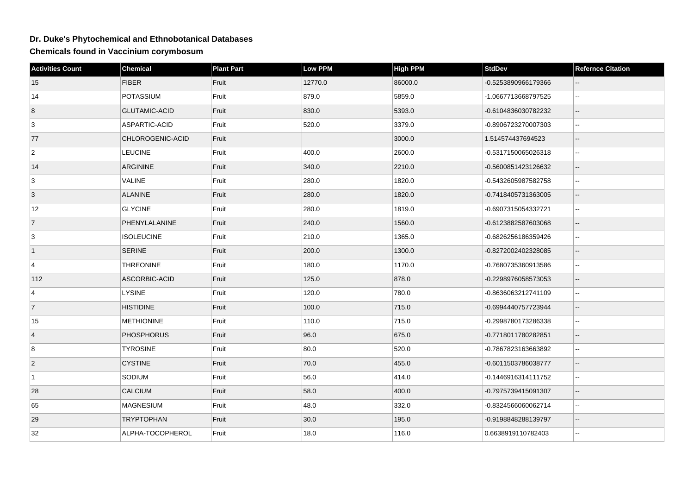## **Dr. Duke's Phytochemical and Ethnobotanical Databases**

**Chemicals found in Vaccinium corymbosum**

| <b>Activities Count</b> | <b>Chemical</b>      | <b>Plant Part</b> | <b>Low PPM</b> | <b>High PPM</b> | <b>StdDev</b>       | <b>Refernce Citation</b>    |
|-------------------------|----------------------|-------------------|----------------|-----------------|---------------------|-----------------------------|
| 15                      | <b>FIBER</b>         | Fruit             | 12770.0        | 86000.0         | -0.5253890966179366 |                             |
| 14                      | POTASSIUM            | Fruit             | 879.0          | 5859.0          | -1.0667713668797525 | $\sim$ $\sim$               |
| 8                       | <b>GLUTAMIC-ACID</b> | Fruit             | 830.0          | 5393.0          | -0.6104836030782232 | $\overline{\phantom{a}}$    |
| 3                       | ASPARTIC-ACID        | Fruit             | 520.0          | 3379.0          | -0.8906723270007303 | $\sim$ $\sim$               |
| 77                      | CHLOROGENIC-ACID     | Fruit             |                | 3000.0          | 1.514574437694523   | $-$                         |
| $\overline{2}$          | <b>LEUCINE</b>       | Fruit             | 400.0          | 2600.0          | -0.5317150065026318 | $\mathbf{u}$                |
| 14                      | <b>ARGININE</b>      | Fruit             | 340.0          | 2210.0          | -0.5600851423126632 | $\overline{\phantom{a}}$    |
| 3                       | <b>VALINE</b>        | Fruit             | 280.0          | 1820.0          | -0.5432605987582758 | $\sim$                      |
| 3                       | <b>ALANINE</b>       | Fruit             | 280.0          | 1820.0          | -0.7418405731363005 | $\sim$                      |
| 12                      | <b>GLYCINE</b>       | Fruit             | 280.0          | 1819.0          | -0.6907315054332721 | $\sim$ $\sim$               |
| $\overline{7}$          | PHENYLALANINE        | Fruit             | 240.0          | 1560.0          | -0.6123882587603068 | $\overline{\phantom{a}}$    |
| 3                       | <b>ISOLEUCINE</b>    | Fruit             | 210.0          | 1365.0          | -0.6826256186359426 | $\sim$ $\sim$               |
| $\vert$ 1               | <b>SERINE</b>        | Fruit             | 200.0          | 1300.0          | -0.8272002402328085 | $\overline{\phantom{a}}$    |
| $\overline{4}$          | <b>THREONINE</b>     | Fruit             | 180.0          | 1170.0          | -0.7680735360913586 | $\ddotsc$                   |
| 112                     | ASCORBIC-ACID        | Fruit             | 125.0          | 878.0           | -0.2298976058573053 | $\overline{\phantom{a}}$    |
| $\overline{4}$          | <b>LYSINE</b>        | Fruit             | 120.0          | 780.0           | -0.8636063212741109 | $\mathbf{L}$                |
| 7                       | <b>HISTIDINE</b>     | Fruit             | 100.0          | 715.0           | -0.6994440757723944 | $\sim$                      |
| 15                      | <b>METHIONINE</b>    | Fruit             | 110.0          | 715.0           | -0.2998780173286338 |                             |
| $\overline{4}$          | <b>PHOSPHORUS</b>    | Fruit             | 96.0           | 675.0           | -0.7718011780282851 | $\sim$                      |
| 8                       | <b>TYROSINE</b>      | Fruit             | 80.0           | 520.0           | -0.7867823163663892 | $\mathcal{L}_{\mathcal{F}}$ |
| $\vert$ 2               | <b>CYSTINE</b>       | Fruit             | 70.0           | 455.0           | -0.6011503786038777 | $\overline{\phantom{a}}$    |
| $\vert$ 1               | SODIUM               | Fruit             | 56.0           | 414.0           | -0.1446916314111752 | $\sim$                      |
| 28                      | <b>CALCIUM</b>       | Fruit             | 58.0           | 400.0           | -0.7975739415091307 | $\overline{\phantom{a}}$    |
| 65                      | <b>MAGNESIUM</b>     | Fruit             | 48.0           | 332.0           | -0.8324566060062714 | $\ddotsc$                   |
| 29                      | <b>TRYPTOPHAN</b>    | Fruit             | 30.0           | 195.0           | -0.9198848288139797 | $\overline{\phantom{a}}$    |
| 32                      | ALPHA-TOCOPHEROL     | Fruit             | 18.0           | 116.0           | 0.6638919110782403  |                             |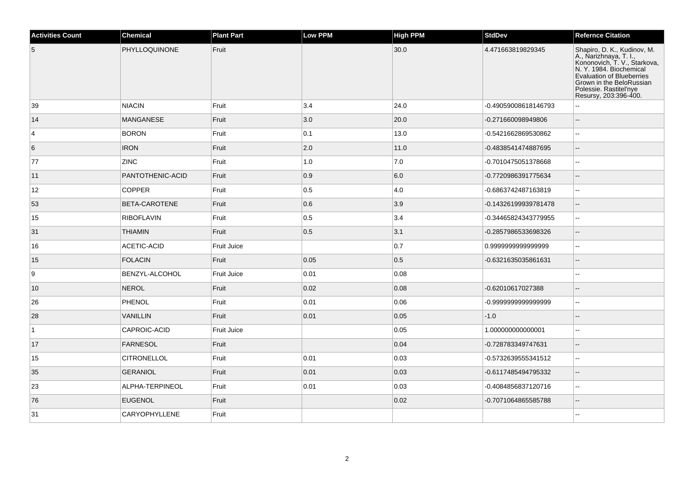| <b>Activities Count</b> | <b>Chemical</b>    | <b>Plant Part</b> | <b>Low PPM</b> | <b>High PPM</b> | <b>StdDev</b>        | <b>Refernce Citation</b>                                                                                                                                                                                                     |
|-------------------------|--------------------|-------------------|----------------|-----------------|----------------------|------------------------------------------------------------------------------------------------------------------------------------------------------------------------------------------------------------------------------|
| 5                       | PHYLLOQUINONE      | Fruit             |                | 30.0            | 4.471663819829345    | Shapiro, D. K., Kudinov, M.<br>A., Narizhnaya, T. I.,<br>Kononovich, T. V., Starkova,<br>N. Y. 1984. Biochemical<br>Evaluation of Blueberries<br>Grown in the BeloRussian<br>Polessie. Rastitel'nye<br>Resursy, 203:396-400. |
| 39                      | <b>NIACIN</b>      | Fruit             | 3.4            | 24.0            | -0.49059008618146793 |                                                                                                                                                                                                                              |
| 14                      | <b>MANGANESE</b>   | Fruit             | 3.0            | 20.0            | -0.271660098949806   | $\sim$                                                                                                                                                                                                                       |
| $\overline{4}$          | <b>BORON</b>       | Fruit             | 0.1            | 13.0            | -0.5421662869530862  | $\sim$                                                                                                                                                                                                                       |
| 6                       | <b>IRON</b>        | Fruit             | 2.0            | 11.0            | -0.4838541474887695  | $\sim$                                                                                                                                                                                                                       |
| 77                      | <b>ZINC</b>        | Fruit             | 1.0            | 7.0             | -0.7010475051378668  | $\mathbf{u}$                                                                                                                                                                                                                 |
| 11                      | PANTOTHENIC-ACID   | Fruit             | 0.9            | 6.0             | -0.7720986391775634  | $\overline{\phantom{a}}$                                                                                                                                                                                                     |
| 12                      | <b>COPPER</b>      | Fruit             | 0.5            | 4.0             | -0.6863742487163819  | $\overline{a}$                                                                                                                                                                                                               |
| 53                      | BETA-CAROTENE      | Fruit             | 0.6            | 3.9             | -0.14326199939781478 | $--$                                                                                                                                                                                                                         |
| 15                      | RIBOFLAVIN         | Fruit             | 0.5            | 3.4             | -0.34465824343779955 | $\sim$                                                                                                                                                                                                                       |
| 31                      | <b>THIAMIN</b>     | Fruit             | 0.5            | 3.1             | -0.2857986533698326  | $\overline{\phantom{a}}$                                                                                                                                                                                                     |
| 16                      | ACETIC-ACID        | Fruit Juice       |                | 0.7             | 0.999999999999999    | $\overline{a}$                                                                                                                                                                                                               |
| 15                      | <b>FOLACIN</b>     | Fruit             | 0.05           | 0.5             | -0.6321635035861631  | $\sim$                                                                                                                                                                                                                       |
| 9                       | BENZYL-ALCOHOL     | Fruit Juice       | 0.01           | 0.08            |                      |                                                                                                                                                                                                                              |
| 10                      | <b>NEROL</b>       | Fruit             | 0.02           | 0.08            | -0.62010617027388    | $\overline{\phantom{a}}$                                                                                                                                                                                                     |
| 26                      | <b>PHENOL</b>      | Fruit             | 0.01           | 0.06            | -0.9999999999999999  | $\overline{a}$                                                                                                                                                                                                               |
| 28                      | <b>VANILLIN</b>    | Fruit             | 0.01           | 0.05            | $-1.0$               |                                                                                                                                                                                                                              |
| $\mathbf{1}$            | CAPROIC-ACID       | Fruit Juice       |                | 0.05            | 1.000000000000001    | $\sim$                                                                                                                                                                                                                       |
| 17                      | FARNESOL           | Fruit             |                | 0.04            | -0.728783349747631   | $\sim$                                                                                                                                                                                                                       |
| 15                      | <b>CITRONELLOL</b> | Fruit             | 0.01           | 0.03            | -0.5732639555341512  | $\overline{a}$                                                                                                                                                                                                               |
| 35                      | <b>GERANIOL</b>    | Fruit             | 0.01           | 0.03            | -0.6117485494795332  | $\overline{\phantom{a}}$                                                                                                                                                                                                     |
| 23                      | ALPHA-TERPINEOL    | Fruit             | 0.01           | 0.03            | -0.4084856837120716  |                                                                                                                                                                                                                              |
| 76                      | <b>EUGENOL</b>     | Fruit             |                | 0.02            | -0.7071064865585788  | $\sim$                                                                                                                                                                                                                       |
| 31                      | CARYOPHYLLENE      | Fruit             |                |                 |                      |                                                                                                                                                                                                                              |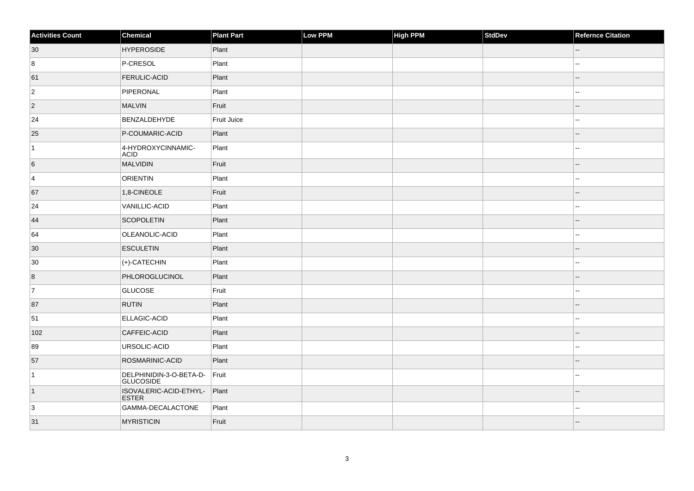| <b>Activities Count</b> | Chemical                                    | <b>Plant Part</b> | Low PPM | <b>High PPM</b> | StdDev | <b>Refernce Citation</b> |
|-------------------------|---------------------------------------------|-------------------|---------|-----------------|--------|--------------------------|
| 30                      | <b>HYPEROSIDE</b>                           | Plant             |         |                 |        | $\sim$ $\sim$            |
| 8                       | P-CRESOL                                    | Plant             |         |                 |        | $\overline{\phantom{a}}$ |
| 61                      | <b>FERULIC-ACID</b>                         | Plant             |         |                 |        | $\overline{\phantom{a}}$ |
| $ 2\rangle$             | PIPERONAL                                   | Plant             |         |                 |        | $\overline{\phantom{a}}$ |
| $\overline{2}$          | MALVIN                                      | Fruit             |         |                 |        |                          |
| 24                      | BENZALDEHYDE                                | Fruit Juice       |         |                 |        | $\sim$ $\sim$            |
| 25                      | P-COUMARIC-ACID                             | Plant             |         |                 |        | --                       |
| $\vert$ 1               | 4-HYDROXYCINNAMIC-<br><b>ACID</b>           | Plant             |         |                 |        | $\mathbf{u}$             |
| 6                       | MALVIDIN                                    | Fruit             |         |                 |        | --                       |
| 4                       | ORIENTIN                                    | Plant             |         |                 |        | $\overline{\phantom{a}}$ |
| 67                      | 1,8-CINEOLE                                 | Fruit             |         |                 |        |                          |
| 24                      | VANILLIC-ACID                               | Plant             |         |                 |        | шш.                      |
| 44                      | <b>SCOPOLETIN</b>                           | Plant             |         |                 |        |                          |
| 64                      | OLEANOLIC-ACID                              | Plant             |         |                 |        | ۵.                       |
| 30                      | <b>ESCULETIN</b>                            | Plant             |         |                 |        | $-$                      |
| 30                      | $ (+)$ -CATECHIN                            | Plant             |         |                 |        | $\overline{\phantom{a}}$ |
| $\overline{8}$          | PHLOROGLUCINOL                              | Plant             |         |                 |        | $\overline{a}$           |
| $\overline{7}$          | GLUCOSE                                     | Fruit             |         |                 |        | ۵.                       |
| 87                      | <b>RUTIN</b>                                | Plant             |         |                 |        |                          |
| 51                      | ELLAGIC-ACID                                | Plant             |         |                 |        | ۵.                       |
| 102                     | CAFFEIC-ACID                                | Plant             |         |                 |        |                          |
| 89                      | URSOLIC-ACID                                | Plant             |         |                 |        | --                       |
| 57                      | ROSMARINIC-ACID                             | Plant             |         |                 |        |                          |
| $\vert$ 1               | DELPHINIDIN-3-O-BETA-D-<br><b>GLUCOSIDE</b> | Fruit             |         |                 |        | $\overline{a}$           |
| $\vert$ 1               | ISOVALERIC-ACID-ETHYL-<br><b>ESTER</b>      | Plant             |         |                 |        |                          |
| 3                       | GAMMA-DECALACTONE                           | Plant             |         |                 |        | --                       |
| 31                      | <b>MYRISTICIN</b>                           | Fruit             |         |                 |        |                          |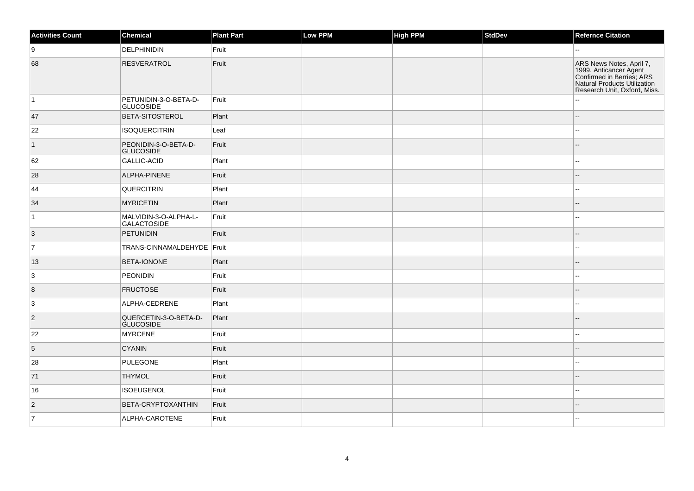| <b>Activities Count</b> | Chemical                                    | <b>Plant Part</b> | Low PPM | High PPM | <b>StdDev</b> | <b>Refernce Citation</b>                                                                                                                        |
|-------------------------|---------------------------------------------|-------------------|---------|----------|---------------|-------------------------------------------------------------------------------------------------------------------------------------------------|
| ∣9                      | <b>DELPHINIDIN</b>                          | Fruit             |         |          |               | $\overline{a}$                                                                                                                                  |
| 68                      | <b>RESVERATROL</b>                          | Fruit             |         |          |               | ARS News Notes, April 7,<br>1999. Anticancer Agent<br>Confirmed in Berries; ARS<br>Natural Products Utilization<br>Research Unit, Oxford, Miss. |
| $\vert$ 1               | PETUNIDIN-3-O-BETA-D-<br><b>GLUCOSIDE</b>   | Fruit             |         |          |               | $\sim$                                                                                                                                          |
| 47                      | <b>BETA-SITOSTEROL</b>                      | Plant             |         |          |               | $\overline{\phantom{a}}$                                                                                                                        |
| 22                      | <b>ISOQUERCITRIN</b>                        | Leaf              |         |          |               | $\overline{a}$                                                                                                                                  |
| $\vert$ 1               | PEONIDIN-3-O-BETA-D-<br><b>GLUCOSIDE</b>    | Fruit             |         |          |               | $\overline{\phantom{a}}$                                                                                                                        |
| 62                      | GALLIC-ACID                                 | Plant             |         |          |               | $\overline{\phantom{a}}$                                                                                                                        |
| 28                      | ALPHA-PINENE                                | Fruit             |         |          |               | $\sim$                                                                                                                                          |
| 44                      | <b>QUERCITRIN</b>                           | Plant             |         |          |               | $\mathbf{u}$                                                                                                                                    |
| 34                      | <b>MYRICETIN</b>                            | Plant             |         |          |               |                                                                                                                                                 |
| $\vert$ 1               | MALVIDIN-3-O-ALPHA-L-<br><b>GALACTOSIDE</b> | Fruit             |         |          |               | $\overline{a}$                                                                                                                                  |
| 3                       | PETUNIDIN                                   | Fruit             |         |          |               | $\sim$                                                                                                                                          |
| $\vert$ 7               | TRANS-CINNAMALDEHYDE   Fruit                |                   |         |          |               | $\overline{a}$                                                                                                                                  |
| 13                      | <b>BETA-IONONE</b>                          | Plant             |         |          |               | $\overline{\phantom{a}}$                                                                                                                        |
| 3                       | <b>PEONIDIN</b>                             | Fruit             |         |          |               | $\sim$                                                                                                                                          |
| 8                       | <b>FRUCTOSE</b>                             | Fruit             |         |          |               |                                                                                                                                                 |
| 3                       | ALPHA-CEDRENE                               | Plant             |         |          |               | $\overline{a}$                                                                                                                                  |
| $\overline{2}$          | QUERCETIN-3-O-BETA-D-<br><b>GLUCOSIDE</b>   | Plant             |         |          |               | $\overline{\phantom{a}}$                                                                                                                        |
| 22                      | <b>MYRCENE</b>                              | Fruit             |         |          |               | $\sim$                                                                                                                                          |
| 5                       | <b>CYANIN</b>                               | Fruit             |         |          |               | $\sim$                                                                                                                                          |
| 28                      | <b>PULEGONE</b>                             | Plant             |         |          |               | $\sim$                                                                                                                                          |
| 71                      | <b>THYMOL</b>                               | Fruit             |         |          |               | $\overline{\phantom{a}}$                                                                                                                        |
| 16                      | <b>ISOEUGENOL</b>                           | Fruit             |         |          |               | $\overline{\phantom{a}}$                                                                                                                        |
| $\overline{2}$          | BETA-CRYPTOXANTHIN                          | Fruit             |         |          |               | $\overline{\phantom{a}}$                                                                                                                        |
| $\vert$ 7               | ALPHA-CAROTENE                              | Fruit             |         |          |               | $\overline{\phantom{a}}$                                                                                                                        |